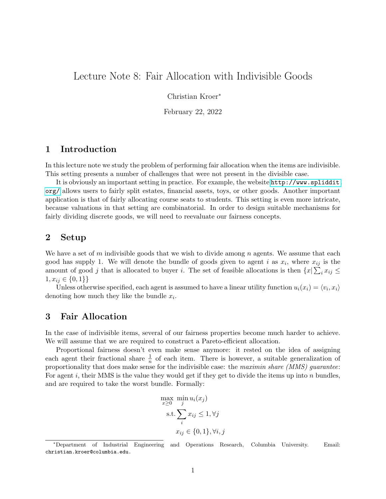# Lecture Note 8: Fair Allocation with Indivisible Goods

Christian Kroer<sup>∗</sup>

February 22, 2022

## 1 Introduction

In this lecture note we study the problem of performing fair allocation when the items are indivisible. This setting presents a number of challenges that were not present in the divisible case.

It is obviously an important setting in practice. For example, the website [http://www.spliddit.](http://www.spliddit.org/) [org/](http://www.spliddit.org/) allows users to fairly split estates, financial assets, toys, or other goods. Another important application is that of fairly allocating course seats to students. This setting is even more intricate, because valuations in that setting are combinatorial. In order to design suitable mechanisms for fairly dividing discrete goods, we will need to reevaluate our fairness concepts.

#### 2 Setup

We have a set of m indivisible goods that we wish to divide among n agents. We assume that each good has supply 1. We will denote the bundle of goods given to agent i as  $x_i$ , where  $x_{ij}$  is the amount of good j that is allocated to buyer i. The set of feasible allocations is then  $\{x | \sum_i x_{ij} \leq$  $1, x_{ij} \in \{0,1\}\}\$ 

Unless otherwise specified, each agent is assumed to have a linear utility function  $u_i(x_i) = \langle v_i, x_i \rangle$ denoting how much they like the bundle  $x_i$ .

### 3 Fair Allocation

In the case of indivisible items, several of our fairness properties become much harder to achieve. We will assume that we are required to construct a Pareto-efficient allocation.

Proportional fairness doesn't even make sense anymore: it rested on the idea of assigning each agent their fractional share  $\frac{1}{n}$  of each item. There is however, a suitable generalization of proportionality that does make sense for the indivisible case: the maximin share (MMS) guarantee: For agent i, their MMS is the value they would get if they get to divide the items up into n bundles. and are required to take the worst bundle. Formally:

$$
\max_{x \ge 0} \min_{j} u_i(x_j)
$$
  
s.t. 
$$
\sum_{i} x_{ij} \le 1, \forall j
$$

$$
x_{ij} \in \{0, 1\}, \forall i, j
$$

<sup>∗</sup>Department of Industrial Engineering and Operations Research, Columbia University. Email: christian.kroer@columbia.edu.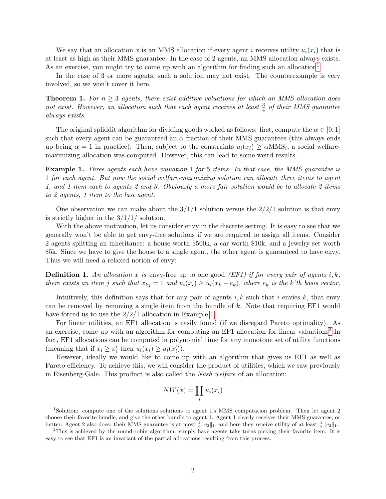We say that an allocation x is an MMS allocation if every agent i receives utility  $u_i(x_i)$  that is at least as high as their MMS guarantee. In the case of 2 agents, an MMS allocation always exists. As an exercise, you might try to come up with an algorithm for finding such an allocation<sup>[1](#page-1-0)</sup>

In the case of 3 or more agents, such a solution may not exist. The counterexample is very involved, so we won't cover it here.

**Theorem 1.** For  $n \geq 3$  agents, there exist additive valuations for which an MMS allocation does not exist. However, an allocation such that each agent receives at least  $\frac{3}{4}$  of their MMS guarantee always exists.

The original spliddit algorithm for dividing goods worked as follows: first, compute the  $\alpha \in [0,1]$ such that every agent can be guaranteed an  $\alpha$  fraction of their MMS guaranteee (this always ends up being  $\alpha = 1$  in practice). Then, subject to the constraints  $u_i(x_i) \ge \alpha \text{MMS}_i$ , a social welfaremaximizing allocation was computed. However, this can lead to some weird results.

<span id="page-1-1"></span>Example 1. Three agents each have valuation 1 for 5 items. In that case, the MMS guarantee is 1 for each agent. But now the social welfare-maximizing solution can allocate three items to agent 1, and 1 item each to agents 2 and 3. Obviously a more fair solution would be to allocate 2 items to 2 agents, 1 item to the last agent.

One observation we can make about the  $3/1/1$  solution versus the  $2/2/1$  solution is that envy is strictly higher in the  $3/1/1/$  solution.

With the above motivation, let us consider envy in the discrete setting. It is easy to see that we generally won't be able to get envy-free solutions if we are required to assign all items. Consider 2 agents splitting an inheritance: a house worth \$500k, a car worth \$10k, and a jewelry set worth \$5k. Since we have to give the house to a single agent, the other agent is guaranteed to have envy. Thus we will need a relaxed notion of envy:

**Definition 1.** An allocation x is envy-free up to one good (EF1) if for every pair of agents i, k, there exists an item j such that  $x_{kj} = 1$  and  $u_i(x_i) \ge u_i(x_k - e_k)$ , where  $e_k$  is the k'th basis vector.

Intuitively, this definition says that for any pair of agents  $i, k$  such that i envies k, that envy can be removed by removing a single item from the bundle of  $k$ . Note that requiring EF1 would have forced us to use the  $2/2/1$  allocation in Example [1.](#page-1-1)

For linear utilities, an EF1 allocation is easily found (if we disregard Pareto optimality). As an exercise, come up with an algorithm for computing an EF1 allocation for linear valuations<sup>[2](#page-1-2)</sup> In fact, EF1 allocations can be computed in polynomial time for any monotone set of utility functions (meaning that if  $x_i \geq x'_i$  then  $u_i(x_i) \geq u_i(x'_i)$ ).

However, ideally we would like to come up with an algorithm that gives us EF1 as well as Pareto efficiency. To achieve this, we will consider the product of utilities, which we saw previously in Eisenberg-Gale. This product is also called the Nash welfare of an allocation:

$$
NW(x) = \prod_i u_i(x_i)
$$

<span id="page-1-0"></span><sup>1</sup>Solution: compute one of the solutions solutions to agent 1's MMS computation problem. Then let agent 2 choose their favorite bundle, and give the other bundle to agent 1. Agent 1 clearly receives their MMS guarantee, or better. Agent 2 also does: their MMS guarantee is at most  $\frac{1}{2}||v_2||_1$ , and here they receive utility of at least  $\frac{1}{2}||v_2||_1$ .

<span id="page-1-2"></span><sup>&</sup>lt;sup>2</sup>This is achieved by the round-robin algorithm: simply have agents take turns picking their favorite item. It is easy to see that EF1 is an invariant of the partial allocations resulting from this process.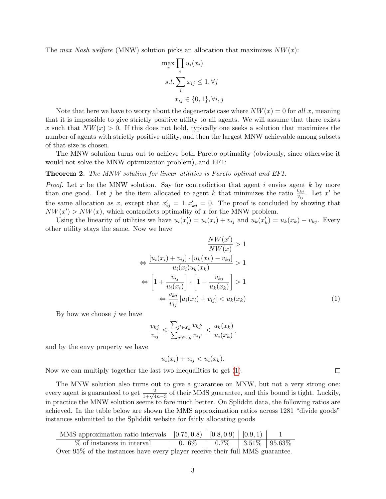The max Nash welfare (MNW) solution picks an allocation that maximizes  $NW(x)$ :

$$
\max_{x} \prod_{i} u_i(x_i)
$$
  
s.t. 
$$
\sum_{i} x_{ij} \le 1, \forall j
$$
  

$$
x_{ij} \in \{0, 1\}, \forall i, j
$$

Note that here we have to worry about the degenerate case where  $NW(x) = 0$  for all x, meaning that it is impossible to give strictly positive utility to all agents. We will assume that there exists x such that  $NW(x) > 0$ . If this does not hold, typically one seeks a solution that maximizes the number of agents with strictly positive utility, and then the largest MNW achievable among subsets of that size is chosen.

The MNW solution turns out to achieve both Pareto optimality (obviously, since otherwise it would not solve the MNW optimization problem), and EF1:

#### Theorem 2. The MNW solution for linear utilities is Pareto optimal and EF1.

*Proof.* Let x be the MNW solution. Say for contradiction that agent i envies agent k by more than one good. Let j be the item allocated to agent k that minimizes the ratio  $\frac{v_{kj}}{v_{ij}}$ . Let x' be the same allocation as x, except that  $x'_{ij} = 1, x'_{kj} = 0$ . The proof is concluded by showing that  $NW(x') > NW(x)$ , which contradicts optimality of x for the MNW problem.

Using the linearity of utilities we have  $u_i(x'_i) = u_i(x_i) + v_{ij}$  and  $u_k(x'_k) = u_k(x_k) - v_{kj}$ . Every other utility stays the same. Now we have

$$
\frac{NW(x')}{NW(x)} > 1
$$
  
\n
$$
\Leftrightarrow \frac{[u_i(x_i) + v_{ij}] \cdot [u_k(x_k) - v_{kj}]}{u_i(x_i)u_k(x_k)} > 1
$$
  
\n
$$
\Leftrightarrow \left[1 + \frac{v_{ij}}{u_i(x_i)}\right] \cdot \left[1 - \frac{v_{kj}}{u_k(x_k)}\right] > 1
$$
  
\n
$$
\Leftrightarrow \frac{v_{kj}}{v_{ij}} [u_i(x_i) + v_{ij}] < u_k(x_k)
$$
\n(1)

<span id="page-2-0"></span> $\Box$ 

By how we choose  $i$  we have

$$
\frac{v_{kj}}{v_{ij}} \le \frac{\sum_{j' \in x_k} v_{kj'}}{\sum_{j' \in x_k} v_{ij'}} \le \frac{u_k(x_k)}{u_i(x_k)},
$$

and by the envy property we have

$$
u_i(x_i) + v_{ij} < u_i(x_k).
$$

Now we can multiply together the last two inequalities to get [\(1\)](#page-2-0).

The MNW solution also turns out to give a guarantee on MNW, but not a very strong one: every agent is guaranteed to get  $\frac{2}{1+\sqrt{4n-3}}$  of their MMS guarantee, and this bound is tight. Luckily, in practice the MNW solution seems to fare much better. On Spliddit data, the following ratios are achieved. In the table below are shown the MMS approximation ratios across 1281 "divide goods" instances submitted to the Spliddit website for fairly allocating goods

| MMS approximation ratio intervals $\mid$ [0.75, 0.8) $\mid$ [0.8, 0.9) $\mid$ [0.9, 1) $\mid$ |            |                                  |  |  |
|-----------------------------------------------------------------------------------------------|------------|----------------------------------|--|--|
| % of instances in interval                                                                    | $0.16\%$ . | $\vert$ 0.7\%   3.51\%   95.63\% |  |  |
| Over 95% of the instances have every player receive their full MMS guarantee.                 |            |                                  |  |  |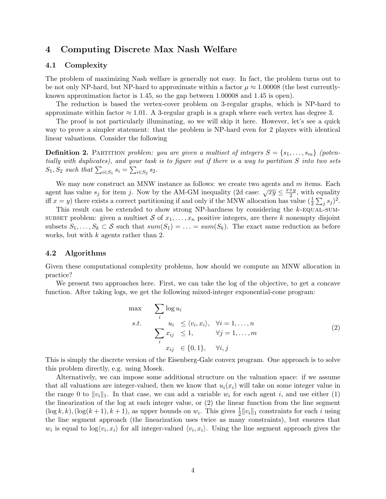## 4 Computing Discrete Max Nash Welfare

#### 4.1 Complexity

The problem of maximizing Nash welfare is generally not easy. In fact, the problem turns out to be not only NP-hard, but NP-hard to approximate within a factor  $\mu \approx 1.00008$  (the best currentlyknown approximation factor is 1.45, so the gap between 1.00008 and 1.45 is open).

The reduction is based the vertex-cover problem on 3-regular graphs, which is NP-hard to approximate within factor  $\approx 1.01$ . A 3-regular graph is a graph where each vertex has degree 3.

The proof is not particularly illuminating, so we will skip it here. However, let's see a quick way to prove a simpler statement: that the problem is NP-hard even for 2 players with identical linear valuations. Consider the following

**Definition 2.** PARTITION problem: you are given a multiset of integers  $S = \{s_1, \ldots, s_m\}$  (potentially with duplicates), and your task is to figure out if there is a way to partition S into two sets  $S_1, S_2$  such that  $\sum_{i \in S_1} s_i = \sum_{i \in S_2} s_2$ .

We may now construct an MNW instance as follows: we create two agents and  $m$  items. Each agent has value  $s_j$  for item j. Now by the AM-GM inequality (2d case:  $\sqrt{xy} \leq \frac{x+y}{2}$  $\frac{+y}{2}$ , with equality iff  $x = y$ ) there exists a correct partitioning if and only if the MNW allocation has value  $(\frac{1}{2} \sum_j s_j)^2$ .

This result can be extended to show strong NP-hardness by considering the  $k$ -EQUAL-SUM-SUBSET problem: given a multiset S of  $x_1, \ldots, x_n$  positive integers, are there k nonempty disjoint subsets  $S_1, \ldots, S_k \subset \mathcal{S}$  such that  $sum(S_1) = \ldots = sum(S_k)$ . The exact same reduction as before works, but with  $k$  agents rather than 2.

#### 4.2 Algorithms

Given these computational complexity problems, how should we compute an MNW allocation in practice?

We present two approaches here. First, we can take the log of the objective, to get a concave function. After taking logs, we get the following mixed-integer exponential-cone program:

$$
\begin{aligned}\n\max \quad & \sum_{i} \log u_i \\
\text{s.t.} \quad & u_i \le \langle v_i, x_i \rangle, \quad \forall i = 1, \dots, n \\
& \sum_{i} x_{ij} \le 1, \qquad \forall j = 1, \dots, m \\
& x_{ij} \in \{0, 1\}, \quad \forall i, j\n\end{aligned} \tag{2}
$$

This is simply the discrete version of the Eisenberg-Gale convex program. One approach is to solve this problem directly, e.g. using Mosek.

Alternatively, we can impose some additional structure on the valuation space: if we assume that all valuations are integer-valued, then we know that  $u_i(x_i)$  will take on some integer value in the range 0 to  $||v_i||_1$ . In that case, we can add a variable  $w_i$  for each agent i, and use either (1) the linearization of the log at each integer value, or (2) the linear function from the line segment  $(\log k, k)$ ,  $(\log (k + 1), k + 1)$ , as upper bounds on  $w_i$ . This gives  $\frac{1}{2} ||v_i||_1$  constraints for each i using the line segment approach (the linearization uses twice as many constraints), but ensures that  $w_i$  is equal to  $\log \langle v_i, x_i \rangle$  for all integer-valued  $\langle v_i, x_i \rangle$ . Using the line segment approach gives the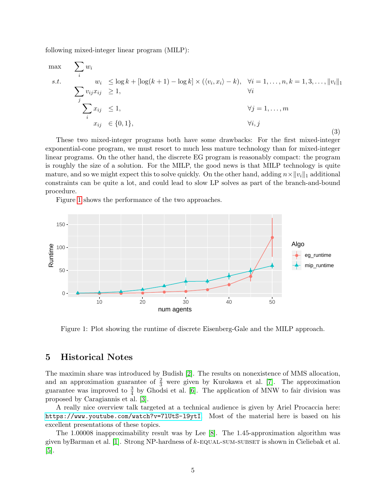following mixed-integer linear program (MILP):

$$
\max_{i} \sum_{i} w_{i}
$$
\n
$$
s.t. \sum_{j} w_{ij} x_{ij} \ge 1, \qquad \sum_{j} v_{ij} x_{ij} \ge 1, \qquad \forall i = 1, ..., n, k = 1, 3, ..., ||v_{i}||_{1}
$$
\n
$$
\sum_{i} v_{ij} x_{ij} \ge 1, \qquad \forall j = 1, ..., m
$$
\n
$$
x_{ij} \in \{0, 1\}, \qquad \forall i, j
$$
\n(3)

These two mixed-integer programs both have some drawbacks: For the first mixed-integer exponential-cone program, we must resort to much less mature technology than for mixed-integer linear programs. On the other hand, the discrete EG program is reasonably compact: the program is roughly the size of a solution. For the MILP, the good news is that MILP technology is quite mature, and so we might expect this to solve quickly. On the other hand, adding  $n \times ||v_i||_1$  additional constraints can be quite a lot, and could lead to slow LP solves as part of the branch-and-bound procedure.

Figure [1](#page-4-0) shows the performance of the two approaches.



<span id="page-4-0"></span>Figure 1: Plot showing the runtime of discrete Eisenberg-Gale and the MILP approach.

## 5 Historical Notes

The maximin share was introduced by Budish [\[2\]](#page-5-0). The results on nonexistence of MMS allocation, and an approximation guarantee of  $\frac{2}{3}$  were given by Kurokawa et al. [\[7\]](#page-5-1). The approximation guarantee was improved to  $\frac{3}{4}$  by Ghodsi et al. [\[6\]](#page-5-2). The application of MNW to fair division was proposed by Caragiannis et al. [\[3\]](#page-5-3).

A really nice overview talk targeted at a technical audience is given by Ariel Procaccia here: <https://www.youtube.com/watch?v=7lUtS-l9ytI>. Most of the material here is based on his excellent presentations of these topics.

The 1.00008 inapproximability result was by Lee [\[8\]](#page-5-4). The 1.45-approximation algorithm was given byBarman et al. [\[1\]](#page-5-5). Strong NP-hardness of k-equal-sum-subset is shown in Cieliebak et al. [\[5\]](#page-5-6).